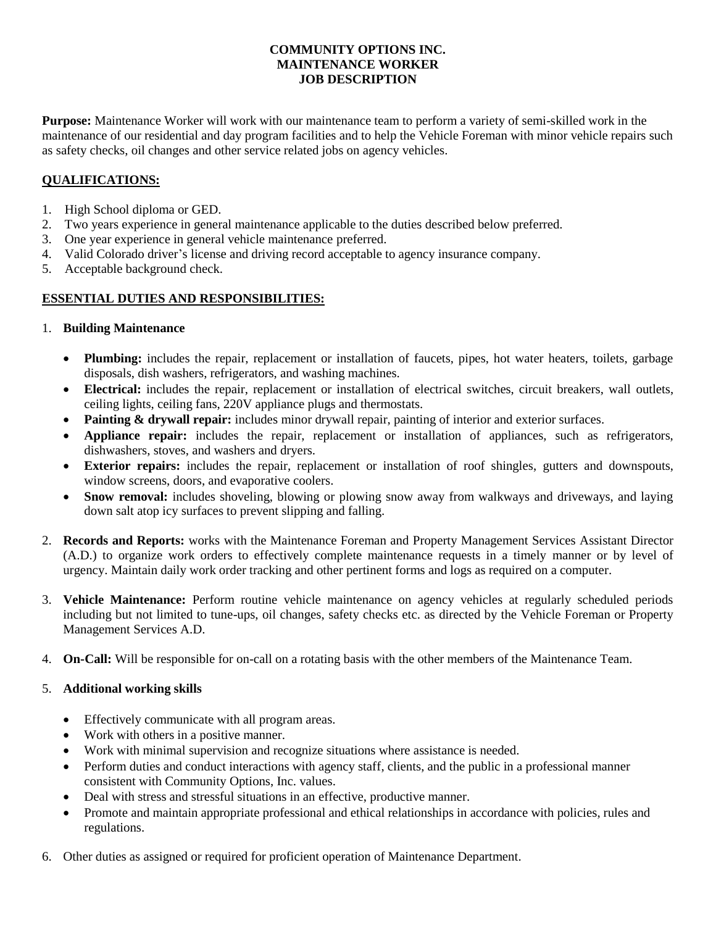### **COMMUNITY OPTIONS INC. MAINTENANCE WORKER JOB DESCRIPTION**

**Purpose:** Maintenance Worker will work with our maintenance team to perform a variety of semi-skilled work in the maintenance of our residential and day program facilities and to help the Vehicle Foreman with minor vehicle repairs such as safety checks, oil changes and other service related jobs on agency vehicles.

# **QUALIFICATIONS:**

- 1. High School diploma or GED.
- 2. Two years experience in general maintenance applicable to the duties described below preferred.
- 3. One year experience in general vehicle maintenance preferred.
- 4. Valid Colorado driver's license and driving record acceptable to agency insurance company.
- 5. Acceptable background check.

## **ESSENTIAL DUTIES AND RESPONSIBILITIES:**

#### 1. **Building Maintenance**

- **Plumbing:** includes the repair, replacement or installation of faucets, pipes, hot water heaters, toilets, garbage disposals, dish washers, refrigerators, and washing machines.
- **Electrical:** includes the repair, replacement or installation of electrical switches, circuit breakers, wall outlets, ceiling lights, ceiling fans, 220V appliance plugs and thermostats.
- **Painting & drywall repair:** includes minor drywall repair, painting of interior and exterior surfaces.
- **Appliance repair:** includes the repair, replacement or installation of appliances, such as refrigerators, dishwashers, stoves, and washers and dryers.
- **Exterior repairs:** includes the repair, replacement or installation of roof shingles, gutters and downspouts, window screens, doors, and evaporative coolers.
- Snow removal: includes shoveling, blowing or plowing snow away from walkways and driveways, and laying down salt atop icy surfaces to prevent slipping and falling.
- 2. **Records and Reports:** works with the Maintenance Foreman and Property Management Services Assistant Director (A.D.) to organize work orders to effectively complete maintenance requests in a timely manner or by level of urgency. Maintain daily work order tracking and other pertinent forms and logs as required on a computer.
- 3. **Vehicle Maintenance:** Perform routine vehicle maintenance on agency vehicles at regularly scheduled periods including but not limited to tune-ups, oil changes, safety checks etc. as directed by the Vehicle Foreman or Property Management Services A.D.
- 4. **On-Call:** Will be responsible for on-call on a rotating basis with the other members of the Maintenance Team.

#### 5. **Additional working skills**

- Effectively communicate with all program areas.
- Work with others in a positive manner.
- Work with minimal supervision and recognize situations where assistance is needed.
- Perform duties and conduct interactions with agency staff, clients, and the public in a professional manner consistent with Community Options, Inc. values.
- Deal with stress and stressful situations in an effective, productive manner.
- Promote and maintain appropriate professional and ethical relationships in accordance with policies, rules and regulations.
- 6. Other duties as assigned or required for proficient operation of Maintenance Department.